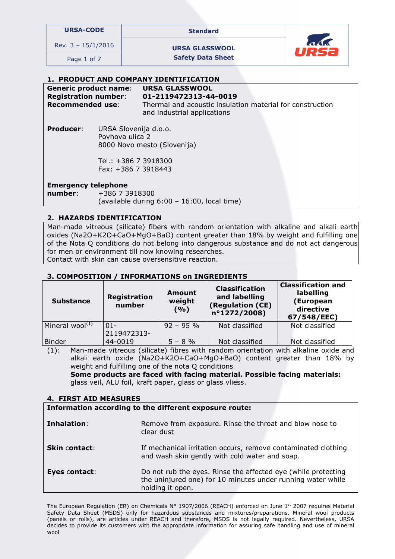| <b>URSA-CODE</b> |  |  |
|------------------|--|--|
|                  |  |  |

URSA-CODE Standard

Rev.  $3 - 15/1/2016$  URSA GLASSWOOL

Page 1 of 7 Safety Data Sheet



### 1. PRODUCT AND COMPANY IDENTIFICATION

#### Generic product name: URSA GLASSWOOL Registration number: 01-2119472313-44-0019

Recommended use: Thermal and acoustic insulation material for construction and industrial applications

Producer: URSA Slovenija d.o.o. Povhova ulica 2 8000 Novo mesto (Slovenija)

> Tel.: +386 7 3918300 Fax: +386 7 3918443

### Emergency telephone

ׇֺ֚֝֬

number: +386 7 3918300 (available during 6:00 – 16:00, local time)

# 2. HAZARDS IDENTIFICATION

Man-made vitreous (silicate) fibers with random orientation with alkaline and alkali earth oxides (Na2O+K2O+CaO+MgO+BaO) content greater than 18% by weight and fulfilling one of the Nota Q conditions do not belong into dangerous substance and do not act dangerous for men or environment till now knowing researches.

Contact with skin can cause oversensitive reaction.

### 3. COMPOSITION / INFORMATIONS on INGREDIENTS

| <b>Substance</b>      | Registration<br>number | Amount<br>weight<br>(9/0) | <b>Classification</b><br>and labelling<br>(Regulation (CE)<br>$n^{\circ}$ 1272/2008) | <b>Classification and</b><br>labelling<br>(European<br>directive<br>67/548/EEC) |
|-----------------------|------------------------|---------------------------|--------------------------------------------------------------------------------------|---------------------------------------------------------------------------------|
| Mineral wool $^{(1)}$ | $01 -$                 | $92 - 95 %$               | Not classified                                                                       | Not classified                                                                  |
|                       | 2119472313-            |                           |                                                                                      |                                                                                 |
| <b>Binder</b>         | 44-0019                | $5 - 8 \%$                | Not classified                                                                       | Not classified                                                                  |

(1): Man-made vitreous (silicate) fibres with random orientation with alkaline oxide and alkali earth oxide (Na2O+K2O+CaO+MgO+BaO) content greater than 18% by weight and fulfilling one of the nota Q conditions Some products are faced with facing material. Possible facing materials:

glass veil, ALU foil, kraft paper, glass or glass vliess.

### 4. FIRST AID MEASURES

Information according to the different exposure route:

| Inhalation:          | Remove from exposure. Rinse the throat and blow nose to<br>clear dust                                                                            |
|----------------------|--------------------------------------------------------------------------------------------------------------------------------------------------|
| <b>Skin contact:</b> | If mechanical irritation occurs, remove contaminated clothing<br>and wash skin gently with cold water and soap.                                  |
| Eyes contact:        | Do not rub the eyes. Rinse the affected eye (while protecting<br>the uninjured one) for 10 minutes under running water while<br>holding it open. |

The European Regulation (ER) on Chemicals Nº 1907/2006 (REACH) enforced on June 1st 2007 requires Material Safety Data Sheet (MSDS) only for hazardous substances and mixtures/preparations. Mineral wool products (panels or rolls), are articles under REACH and therefore, MSDS is not legally required. Nevertheless, URSA decides to provide its customers with the appropriate information for assuring safe handling and use of mineral wool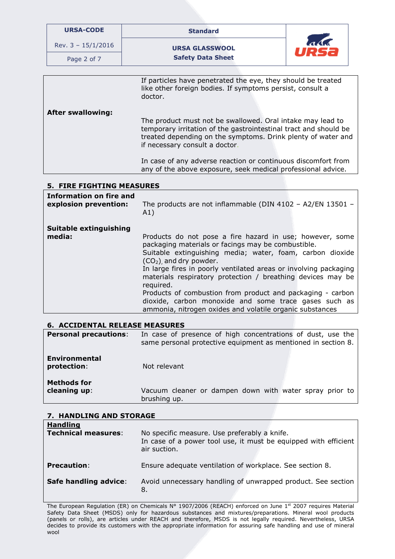| <b>URSA-CODE</b>                                                                                                                     | <b>Standard</b>                                                                                                                                                                                                                                                                                   |      |  |
|--------------------------------------------------------------------------------------------------------------------------------------|---------------------------------------------------------------------------------------------------------------------------------------------------------------------------------------------------------------------------------------------------------------------------------------------------|------|--|
| Rev. $3 - 15/1/2016$                                                                                                                 | <b>URSA GLASSWOOL</b>                                                                                                                                                                                                                                                                             | URSa |  |
| Page 2 of 7                                                                                                                          | <b>Safety Data Sheet</b>                                                                                                                                                                                                                                                                          |      |  |
|                                                                                                                                      |                                                                                                                                                                                                                                                                                                   |      |  |
| If particles have penetrated the eye, they should be treated<br>like other foreign bodies. If symptoms persist, consult a<br>doctor. |                                                                                                                                                                                                                                                                                                   |      |  |
| <b>After swallowing:</b>                                                                                                             | The product must not be swallowed. Oral intake may lead to<br>temporary irritation of the gastrointestinal tract and should be<br>treated depending on the symptoms. Drink plenty of water and<br>if necessary consult a doctor.<br>In case of any adverse reaction or continuous discomfort from |      |  |
|                                                                                                                                      | any of the above exposure, seek medical professional advice.                                                                                                                                                                                                                                      |      |  |

# 5. FIRE FIGHTING MEASURES

| <b>Information on fire and</b>   | The products are not inflammable (DIN 4102 - A2/EN 13501 -                                                                                                                                                                                                                                                                                                                                                                                                                                                                                |
|----------------------------------|-------------------------------------------------------------------------------------------------------------------------------------------------------------------------------------------------------------------------------------------------------------------------------------------------------------------------------------------------------------------------------------------------------------------------------------------------------------------------------------------------------------------------------------------|
| explosion prevention:            | A1)                                                                                                                                                                                                                                                                                                                                                                                                                                                                                                                                       |
| Suitable extinguishing<br>media: | Products do not pose a fire hazard in use; however, some<br>packaging materials or facings may be combustible.<br>Suitable extinguishing media; water, foam, carbon dioxide<br>$(CO2)$ and dry powder.<br>In large fires in poorly ventilated areas or involving packaging<br>materials respiratory protection / breathing devices may be<br>required.<br>Products of combustion from product and packaging - carbon<br>dioxide, carbon monoxide and some trace gases such as<br>ammonia, nitrogen oxides and volatile organic substances |

### 6. ACCIDENTAL RELEASE MEASURES

| <b>Personal precautions:</b>        | In case of presence of high concentrations of dust, use the<br>same personal protective equipment as mentioned in section 8. |  |  |  |
|-------------------------------------|------------------------------------------------------------------------------------------------------------------------------|--|--|--|
| <b>Environmental</b><br>protection: | Not relevant                                                                                                                 |  |  |  |
| <b>Methods for</b><br>cleaning up:  | Vacuum cleaner or dampen down with water spray prior to<br>brushing up.                                                      |  |  |  |

# 7. HANDLING AND STORAGE

| <b>Handling</b><br><b>Technical measures:</b> | No specific measure. Use preferably a knife.<br>In case of a power tool use, it must be equipped with efficient<br>air suction. |
|-----------------------------------------------|---------------------------------------------------------------------------------------------------------------------------------|
| <b>Precaution:</b>                            | Ensure adequate ventilation of workplace. See section 8.                                                                        |
| Safe handling advice:                         | Avoid unnecessary handling of unwrapped product. See section<br>8.                                                              |

The European Regulation (ER) on Chemicals N° 1907/2006 (REACH) enforced on June 1<sup>st</sup> 2007 requires Material Safety Data Sheet (MSDS) only for hazardous substances and mixtures/preparations. Mineral wool products (panels or rolls), are articles under REACH and therefore, MSDS is not legally required. Nevertheless, URSA decides to provide its customers with the appropriate information for assuring safe handling and use of mineral wool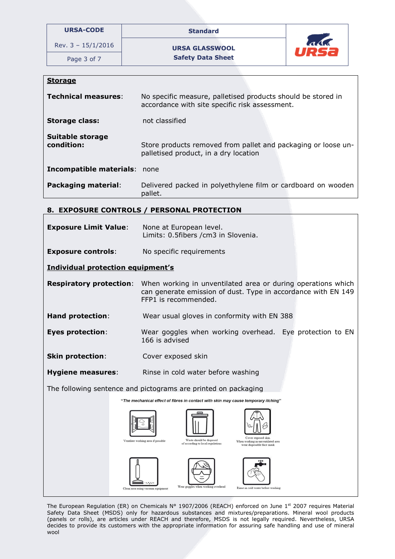| <b>URSA-CODE</b>     | <b>Standard</b>          |                    |
|----------------------|--------------------------|--------------------|
| Rev. $3 - 15/1/2016$ | <b>URSA GLASSWOOL</b>    | ald<br><b>URS2</b> |
| Page 3 of 7          | <b>Safety Data Sheet</b> |                    |
|                      |                          |                    |

| ∍τoraq |
|--------|
|--------|

| <b>Technical measures:</b>          | No specific measure, palletised products should be stored in<br>accordance with site specific risk assessment. |  |
|-------------------------------------|----------------------------------------------------------------------------------------------------------------|--|
| <b>Storage class:</b>               | not classified                                                                                                 |  |
| Suitable storage<br>condition:      | Store products removed from pallet and packaging or loose un-<br>palletised product, in a dry location         |  |
| <b>Incompatible materials: none</b> |                                                                                                                |  |
| <b>Packaging material:</b>          | Delivered packed in polyethylene film or cardboard on wooden<br>pallet.                                        |  |

# 8. EXPOSURE CONTROLS / PERSONAL PROTECTION

| <b>Exposure Limit Value:</b>                                                       | None at European level.<br>Limits: 0.5fibers / cm3 in Slovenia.                                                                                                                              |  |  |  |  |
|------------------------------------------------------------------------------------|----------------------------------------------------------------------------------------------------------------------------------------------------------------------------------------------|--|--|--|--|
| <b>Exposure controls:</b>                                                          | No specific requirements                                                                                                                                                                     |  |  |  |  |
| <b>Individual protection equipment's</b>                                           |                                                                                                                                                                                              |  |  |  |  |
|                                                                                    | <b>Respiratory protection:</b> When working in unventilated area or during operations which<br>can generate emission of dust. Type in accordance with EN 149<br>FFP1 is recommended.         |  |  |  |  |
| <b>Hand protection:</b>                                                            | Wear usual gloves in conformity with EN 388                                                                                                                                                  |  |  |  |  |
| <b>Eyes protection:</b>                                                            | Wear goggles when working overhead. Eye protection to EN<br>166 is advised                                                                                                                   |  |  |  |  |
| <b>Skin protection:</b>                                                            | Cover exposed skin                                                                                                                                                                           |  |  |  |  |
| <b>Hygiene measures:</b>                                                           | Rinse in cold water before washing                                                                                                                                                           |  |  |  |  |
| The following sentence and pictograms are printed on packaging                     |                                                                                                                                                                                              |  |  |  |  |
| "The mechanical effect of fibres in contact with skin may cause temporary itching" |                                                                                                                                                                                              |  |  |  |  |
|                                                                                    | Cover exposed skin.<br>Waste should be disposed<br>Ventilate working area if possible<br>When working in unventilated area<br>of according to local regulations<br>wear disposable face mask |  |  |  |  |
|                                                                                    | Wear goggles when working overhead<br>Rinse in cold water before washing<br>Clean area using vacuum equipment                                                                                |  |  |  |  |

The European Regulation (ER) on Chemicals N° 1907/2006 (REACH) enforced on June 1st 2007 requires Material Safety Data Sheet (MSDS) only for hazardous substances and mixtures/preparations. Mineral wool products (panels or rolls), are articles under REACH and therefore, MSDS is not legally required. Nevertheless, URSA decides to provide its customers with the appropriate information for assuring safe handling and use of mineral wool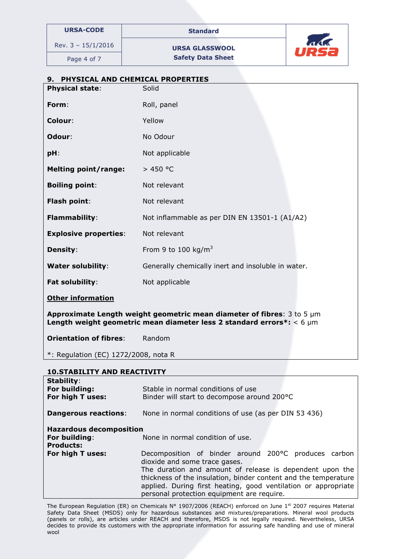|                  |  | <b>URSA-CODE</b> |  |  |
|------------------|--|------------------|--|--|
| ev. 3 – 15/1/201 |  |                  |  |  |

Standard

Rev.  $3 - 15/1/2016$  URSA GLASSWOOL Page 4 of 7 Safety Data Sheet



# 9. PHYSICAL AND CHEMICAL PROPERTIES Physical state: Solid Form: Roll, panel Colour: Yellow Odour: No Odour pH: Not applicable Melting point/range:  $> 450 °C$ **Boiling point:** Not relevant Flash point: Not relevant Flammability: Not inflammable as per DIN EN 13501-1 (A1/A2) **Explosive properties:** Not relevant **Density:** From 9 to 100 kg/m<sup>3</sup> Water solubility: Generally chemically inert and insoluble in water. Fat solubility: Not applicable Other information Approximate Length weight geometric mean diameter of fibres:  $3 \text{ to } 5 \text{ µm}$ Length weight geometric mean diameter less 2 standard errors\*:  $<$  6  $\mu$ m **Orientation of fibres:** Random \*: Regulation (EC) 1272/2008, nota R 10.STABILITY AND REACTIVITY

| <b>Stability:</b><br>For building:<br>For high T uses:              | Stable in normal conditions of use<br>Binder will start to decompose around 200°C                                                                                                                                                                                                                                                    |  |  |  |  |
|---------------------------------------------------------------------|--------------------------------------------------------------------------------------------------------------------------------------------------------------------------------------------------------------------------------------------------------------------------------------------------------------------------------------|--|--|--|--|
| <b>Dangerous reactions:</b>                                         | None in normal conditions of use (as per DIN 53 436)                                                                                                                                                                                                                                                                                 |  |  |  |  |
| <b>Hazardous decomposition</b><br>For building:<br><b>Products:</b> | None in normal condition of use.                                                                                                                                                                                                                                                                                                     |  |  |  |  |
| For high T uses:                                                    | Decomposition of binder around 200°C produces carbon<br>dioxide and some trace gases.<br>The duration and amount of release is dependent upon the<br>thickness of the insulation, binder content and the temperature<br>applied. During first heating, good ventilation or appropriate<br>personal protection equipment are require. |  |  |  |  |

The European Regulation (ER) on Chemicals Nº 1907/2006 (REACH) enforced on June 1st 2007 requires Material Safety Data Sheet (MSDS) only for hazardous substances and mixtures/preparations. Mineral wool products (panels or rolls), are articles under REACH and therefore, MSDS is not legally required. Nevertheless, URSA decides to provide its customers with the appropriate information for assuring safe handling and use of mineral wool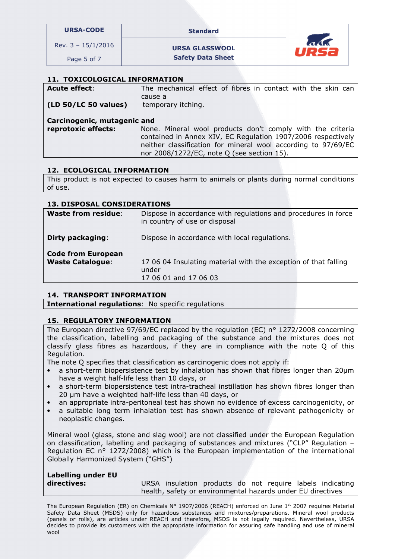| <b>URSA-CODE</b>     | <b>Standard</b>       |                  |
|----------------------|-----------------------|------------------|
| Rev. $3 - 15/1/2016$ | <b>URSA GLASSWOOL</b> | $\Lambda\Lambda$ |
|                      |                       |                  |

Page 5 of 7 Safety Data Sheet



# 11. TOXICOLOGICAL INFORMATION

| <b>Acute effect:</b>        | The mechanical effect of fibres in contact with the skin can                                                                  |  |  |  |  |  |  |
|-----------------------------|-------------------------------------------------------------------------------------------------------------------------------|--|--|--|--|--|--|
| (LD 50/LC 50 values)        | cause a<br>temporary itching.                                                                                                 |  |  |  |  |  |  |
| Carcinogenic, mutagenic and |                                                                                                                               |  |  |  |  |  |  |
| reprotoxic effects:         | None. Mineral wool products don't comply with the criteria                                                                    |  |  |  |  |  |  |
|                             | contained in Annex XIV, EC Regulation 1907/2006 respectively<br>neither classification for mineral wool according to 97/69/EC |  |  |  |  |  |  |
|                             | nor 2008/1272/EC, note Q (see section 15).                                                                                    |  |  |  |  |  |  |

### 12. ECOLOGICAL INFORMATION

This product is not expected to causes harm to animals or plants during normal conditions of use.

### 13. DISPOSAL CONSIDERATIONS

| <b>Waste from residue:</b>                           | Dispose in accordance with regulations and procedures in force<br>in country of use or disposal   |
|------------------------------------------------------|---------------------------------------------------------------------------------------------------|
| Dirty packaging:                                     | Dispose in accordance with local regulations.                                                     |
| <b>Code from European</b><br><b>Waste Catalogue:</b> | 17 06 04 Insulating material with the exception of that falling<br>under<br>17 06 01 and 17 06 03 |

### 14. TRANSPORT INFORMATION

International regulations: No specific regulations

### 15. REGULATORY INFORMATION

The European directive 97/69/EC replaced by the regulation (EC) nº 1272/2008 concerning the classification, labelling and packaging of the substance and the mixtures does not classify glass fibres as hazardous, if they are in compliance with the note Q of this Regulation.

The note Q specifies that classification as carcinogenic does not apply if:

- a short-term biopersistence test by inhalation has shown that fibres longer than 20µm have a weight half-life less than 10 days, or
- a short-term biopersistence test intra-tracheal instillation has shown fibres longer than 20 µm have a weighted half-life less than 40 days, or
- an appropriate intra-peritoneal test has shown no evidence of excess carcinogenicity, or
- a suitable long term inhalation test has shown absence of relevant pathogenicity or neoplastic changes.

Mineral wool (glass, stone and slag wool) are not classified under the European Regulation on classification, labelling and packaging of substances and mixtures ("CLP" Regulation – Regulation EC n° 1272/2008) which is the European implementation of the international Globally Harmonized System ("GHS")

| <b>Labelling under EU</b> |  |
|---------------------------|--|
| directives:               |  |

URSA insulation products do not require labels indicating health, safety or environmental hazards under EU directives

The European Regulation (ER) on Chemicals Nº 1907/2006 (REACH) enforced on June 1<sup>st</sup> 2007 reguires Material Safety Data Sheet (MSDS) only for hazardous substances and mixtures/preparations. Mineral wool products (panels or rolls), are articles under REACH and therefore, MSDS is not legally required. Nevertheless, URSA decides to provide its customers with the appropriate information for assuring safe handling and use of mineral wool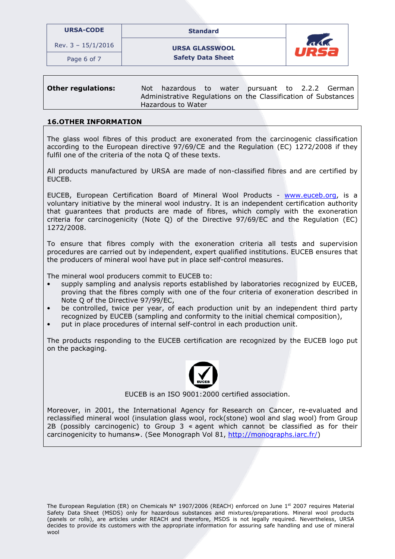| <b>URSA-CODE</b>     | <b>Standard</b>          |                        |
|----------------------|--------------------------|------------------------|
| Rev. $3 - 15/1/2016$ | <b>URSA GLASSWOOL</b>    | $\overline{a}$<br>URS2 |
| Page 6 of 7          | <b>Safety Data Sheet</b> |                        |

| <b>Other regulations:</b> | Not hazardous to water pursuant to 2.2.2 German                                      |  |  |  |
|---------------------------|--------------------------------------------------------------------------------------|--|--|--|
|                           | Administrative Regulations on the Classification of Substances<br>Hazardous to Water |  |  |  |

### 16.OTHER INFORMATION

The glass wool fibres of this product are exonerated from the carcinogenic classification according to the European directive 97/69/CE and the Regulation (EC) 1272/2008 if they fulfil one of the criteria of the nota Q of these texts.

All products manufactured by URSA are made of non-classified fibres and are certified by EUCEB.

EUCEB, European Certification Board of Mineral Wool Products - www.euceb.org, is a voluntary initiative by the mineral wool industry. It is an independent certification authority that guarantees that products are made of fibres, which comply with the exoneration criteria for carcinogenicity (Note Q) of the Directive 97/69/EC and the Regulation (EC) 1272/2008.

To ensure that fibres comply with the exoneration criteria all tests and supervision procedures are carried out by independent, expert qualified institutions. EUCEB ensures that the producers of mineral wool have put in place self-control measures.

The mineral wool producers commit to EUCEB to:

- supply sampling and analysis reports established by laboratories recognized by EUCEB, proving that the fibres comply with one of the four criteria of exoneration described in Note Q of the Directive 97/99/EC,
- be controlled, twice per year, of each production unit by an independent third party recognized by EUCEB (sampling and conformity to the initial chemical composition),
- put in place procedures of internal self-control in each production unit.

The products responding to the EUCEB certification are recognized by the EUCEB logo put on the packaging.



EUCEB is an ISO 9001:2000 certified association.

Moreover, in 2001, the International Agency for Research on Cancer, re-evaluated and reclassified mineral wool (insulation glass wool, rock(stone) wool and slag wool) from Group 2B (possibly carcinogenic) to Group 3 « agent which cannot be classified as for their carcinogenicity to humans». (See Monograph Vol 81, http://monographs.iarc.fr/)

The European Regulation (ER) on Chemicals Nº 1907/2006 (REACH) enforced on June 1st 2007 requires Material Safety Data Sheet (MSDS) only for hazardous substances and mixtures/preparations. Mineral wool products (panels or rolls), are articles under REACH and therefore, MSDS is not legally required. Nevertheless, URSA decides to provide its customers with the appropriate information for assuring safe handling and use of mineral wool